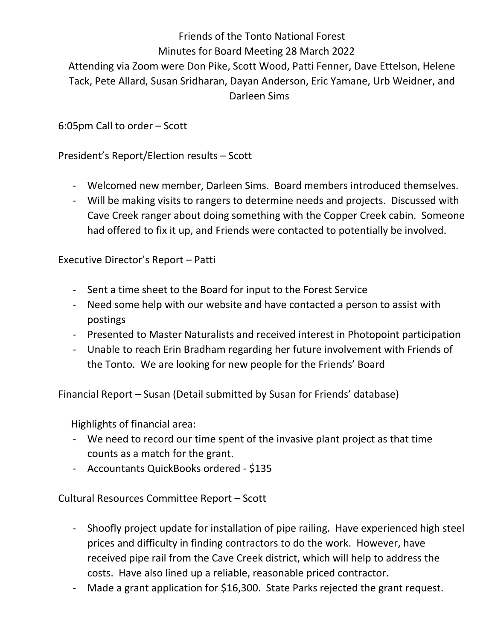Friends of the Tonto National Forest Minutes for Board Meeting 28 March 2022 Attending via Zoom were Don Pike, Scott Wood, Patti Fenner, Dave Ettelson, Helene Tack, Pete Allard, Susan Sridharan, Dayan Anderson, Eric Yamane, Urb Weidner, and Darleen Sims

6:05pm Call to order – Scott

President's Report/Election results – Scott

- Welcomed new member, Darleen Sims. Board members introduced themselves.
- Will be making visits to rangers to determine needs and projects. Discussed with Cave Creek ranger about doing something with the Copper Creek cabin. Someone had offered to fix it up, and Friends were contacted to potentially be involved.

- Executive Director's Report Patti<br>- Sent a time sheet to the Board for input to the Forest Service
	- Need some help with our website and have contacted a person to assist with postings
	- Presented to Master Naturalists and received interest in Photopoint participation
	- Unable to reach Erin Bradham regarding her future involvement with Friends of the Tonto. We are looking for new people for the Friends' Board

Financial Report – Susan (Detail submitted by Susan for Friends' database)

Highlights of financial area:

- We need to record our time spent of the invasive plant project as that time counts as a match for the grant.
- Accountants QuickBooks ordered \$135

Cultural Resources Committee Report – Scott

- Shoofly project update for installation of pipe railing. Have experienced high steel prices and difficulty in finding contractors to do the work. However, have received pipe rail from the Cave Creek district, which will help to address the costs. Have also lined up a reliable, reasonable priced contractor. - Made a grant application for \$16,300. State Parks rejected the grant request.
-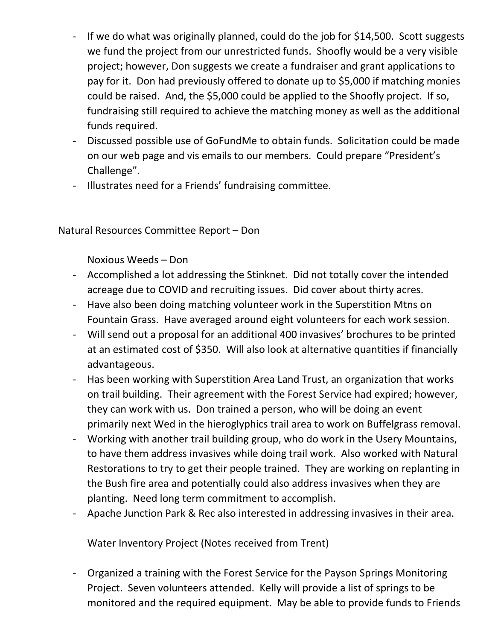- If we do what was originally planned, could do the job for \$14,500. Scott suggests we fund the project from our unrestricted funds. Shoofly would be a very visible project; however, Don suggests we create a fundraiser and grant applications to pay for it. Don had previously offered to donate up to \$5,000 if matching monies could be raised. And, the \$5,000 could be applied to the Shoofly project. If so, fundraising still required to achieve the matching money as well as the additional funds required.
- Discussed possible use of GoFundMe to obtain funds. Solicitation could be made on our web page and vis emails to our members. Could prepare "President's Challenge".
- Illustrates need for a Friends' fundraising committee.

## Natural Resources Committee Report – Don

Noxious Weeds – Don

- Accomplished a lot addressing the Stinknet. Did not totally cover the intended acreage due to COVID and recruiting issues. Did cover about thirty acres.<br>- Have also been doing matching volunteer work in the Superstition Mtns on
- Fountain Grass. Have averaged around eight volunteers for each work session.
- Will send out a proposal for an additional 400 invasives' brochures to be printed at an estimated cost of \$350. Will also look at alternative quantities if financially advantageous.
- Has been working with Superstition Area Land Trust, an organization that works on trail building. Their agreement with the Forest Service had expired; however, they can work with us. Don trained a person, who will be doing an event primarily next Wed in the hieroglyphics trail area to work on Buffelgrass removal.
- Working with another trail building group, who do work in the Usery Mountains, to have them address invasives while doing trail work. Also worked with Natural Restorations to try to get their people trained. They are working on replanting in the Bush fire area and potentially could also address invasives when they are planting. Need long term commitment to accomplish.
- Apache Junction Park & Rec also interested in addressing invasives in their area.

Water Inventory Project (Notes received from Trent)

- Organized a training with the Forest Service for the Payson Springs Monitoring Project. Seven volunteers attended. Kelly will provide a list of springs to be monitored and the required equipment. May be able to provide funds to Friends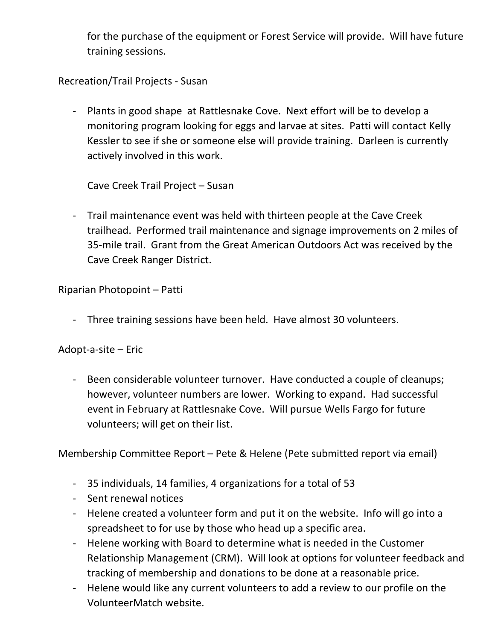for the purchase of the equipment or Forest Service will provide. Will have future training sessions.

Recreation/Trail Projects - Susan

- Plants in good shape at Rattlesnake Cove. Next effort will be to develop a monitoring program looking for eggs and larvae at sites. Patti will contact Kelly Kessler to see if she or someone else will provide training. Darleen is currently actively involved in this work.

Cave Creek Trail Project – Susan

- Trail maintenance event was held with thirteen people at the Cave Creek trailhead. Performed trail maintenance and signage improvements on 2 miles of 35-mile trail. Grant from the Great American Outdoors Act was received by the Cave Creek Ranger District.

Riparian Photopoint – Patti

- Three training sessions have been held. Have almost 30 volunteers.

Adopt-a-site – Eric

- Been considerable volunteer turnover. Have conducted a couple of cleanups; however, volunteer numbers are lower. Working to expand. Had successful event in February at Rattlesnake Cove. Will pursue Wells Fargo for future volunteers; will get on their list.

Membership Committee Report – Pete & Helene (Pete submitted report via email)

- 35 individuals, 14 families, 4 organizations for a total of 53
- Sent renewal notices
- Helene created a volunteer form and put it on the website. Info will go into a spreadsheet to for use by those who head up a specific area.
- Helene working with Board to determine what is needed in the Customer Relationship Management (CRM). Will look at options for volunteer feedback and tracking of membership and donations to be done at a reasonable price.
- Helene would like any current volunteers to add a review to our profile on the VolunteerMatch website.